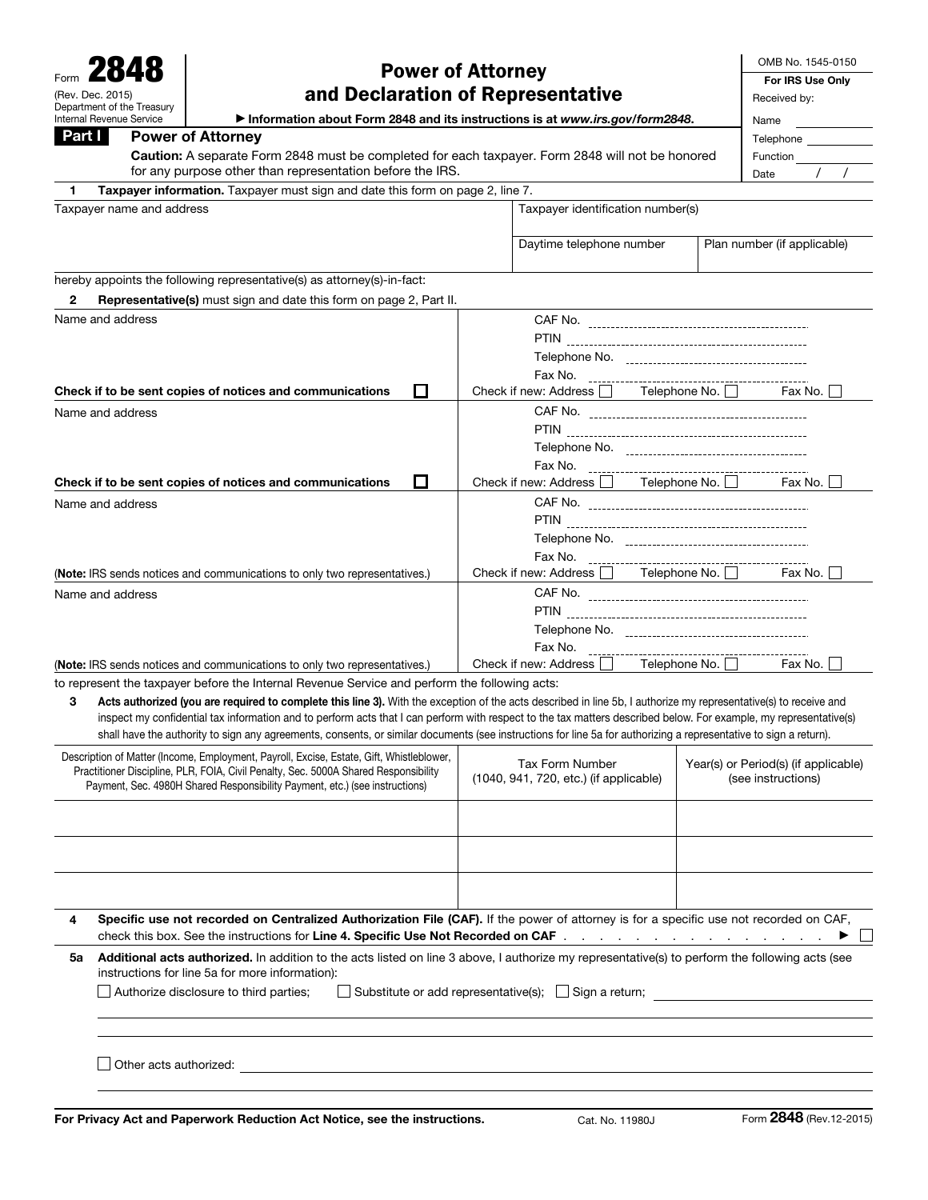Name and address

|                                                                                                                                        |                                                                                       |   |                                   |                                                   |                      |  | OMB No. 1545-0150           |  |
|----------------------------------------------------------------------------------------------------------------------------------------|---------------------------------------------------------------------------------------|---|-----------------------------------|---------------------------------------------------|----------------------|--|-----------------------------|--|
| 2848<br><b>Power of Attorney</b>                                                                                                       |                                                                                       |   |                                   |                                                   |                      |  | For IRS Use Only            |  |
| and Declaration of Representative<br>(Rev. Dec. 2015)                                                                                  |                                                                                       |   |                                   |                                                   |                      |  | Received by:                |  |
| Department of the Treasury<br>Internal Revenue Service<br>Information about Form 2848 and its instructions is at www.irs.gov/form2848. |                                                                                       |   |                                   |                                                   |                      |  | Name                        |  |
| Part I                                                                                                                                 | <b>Power of Attorney</b>                                                              |   |                                   |                                                   |                      |  | Telephone                   |  |
| Caution: A separate Form 2848 must be completed for each taxpayer. Form 2848 will not be honored                                       |                                                                                       |   |                                   |                                                   |                      |  | Function                    |  |
| for any purpose other than representation before the IRS.                                                                              |                                                                                       |   |                                   |                                                   |                      |  | Date                        |  |
| 1.                                                                                                                                     | <b>Taxpayer information.</b> Taxpayer must sign and date this form on page 2, line 7. |   |                                   |                                                   |                      |  |                             |  |
| Taxpayer name and address                                                                                                              |                                                                                       |   | Taxpayer identification number(s) |                                                   |                      |  |                             |  |
|                                                                                                                                        |                                                                                       |   |                                   | Daytime telephone number                          |                      |  | Plan number (if applicable) |  |
|                                                                                                                                        | hereby appoints the following representative(s) as attorney(s)-in-fact:               |   |                                   |                                                   |                      |  |                             |  |
| 2                                                                                                                                      | <b>Representative(s)</b> must sign and date this form on page 2, Part II.             |   |                                   |                                                   |                      |  |                             |  |
| Name and address                                                                                                                       |                                                                                       |   |                                   |                                                   |                      |  |                             |  |
|                                                                                                                                        |                                                                                       |   |                                   |                                                   |                      |  |                             |  |
|                                                                                                                                        |                                                                                       |   |                                   |                                                   |                      |  |                             |  |
|                                                                                                                                        |                                                                                       |   |                                   | Fax No.                                           |                      |  |                             |  |
|                                                                                                                                        | Check if to be sent copies of notices and communications                              | П |                                   | Check if new: Address $\Box$ Telephone No. $\Box$ |                      |  | Fax No. I                   |  |
| Name and address                                                                                                                       |                                                                                       |   |                                   |                                                   |                      |  |                             |  |
|                                                                                                                                        |                                                                                       |   |                                   | <b>PTIN</b>                                       |                      |  |                             |  |
|                                                                                                                                        |                                                                                       |   |                                   |                                                   |                      |  |                             |  |
|                                                                                                                                        |                                                                                       |   |                                   | Fax No.                                           |                      |  |                             |  |
|                                                                                                                                        | Check if to be sent copies of notices and communications                              | П |                                   | Check if new: Address                             | Telephone No. $\Box$ |  | Fax No.                     |  |
| Name and address                                                                                                                       |                                                                                       |   |                                   |                                                   |                      |  |                             |  |
|                                                                                                                                        |                                                                                       |   |                                   |                                                   |                      |  |                             |  |

Fax No.

Fax No.

Check if new: Address Telephone No. The Fax No. to represent the taxpayer before the Internal Revenue Service and perform the following acts:

(Note: IRS sends notices and communications to only two representatives.)

(Note: IRS sends notices and communications to only two representatives.)

3 Acts authorized (you are required to complete this line 3). With the exception of the acts described in line 5b, I authorize my representative(s) to receive and inspect my confidential tax information and to perform acts that I can perform with respect to the tax matters described below. For example, my representative(s) shall have the authority to sign any agreements, consents, or similar documents (see instructions for line 5a for authorizing a representative to sign a return).

| Description of Matter (Income, Employment, Payroll, Excise, Estate, Gift, Whistleblower,<br>Practitioner Discipline, PLR, FOIA, Civil Penalty, Sec. 5000A Shared Responsibility<br>Payment, Sec. 4980H Shared Responsibility Payment, etc.) (see instructions) |                                                                                                                                                                                                                                                                                                                                                                          | Tax Form Number<br>(1040, 941, 720, etc.) (if applicable) | Year(s) or Period(s) (if applicable)<br>(see instructions) |  |  |  |  |
|----------------------------------------------------------------------------------------------------------------------------------------------------------------------------------------------------------------------------------------------------------------|--------------------------------------------------------------------------------------------------------------------------------------------------------------------------------------------------------------------------------------------------------------------------------------------------------------------------------------------------------------------------|-----------------------------------------------------------|------------------------------------------------------------|--|--|--|--|
|                                                                                                                                                                                                                                                                |                                                                                                                                                                                                                                                                                                                                                                          |                                                           |                                                            |  |  |  |  |
|                                                                                                                                                                                                                                                                |                                                                                                                                                                                                                                                                                                                                                                          |                                                           |                                                            |  |  |  |  |
|                                                                                                                                                                                                                                                                |                                                                                                                                                                                                                                                                                                                                                                          |                                                           |                                                            |  |  |  |  |
| 4                                                                                                                                                                                                                                                              | Specific use not recorded on Centralized Authorization File (CAF). If the power of attorney is for a specific use not recorded on CAF,<br>check this box. See the instructions for Line 4. Specific Use Not Recorded on CAF example and a set of the set of the set of the A. Specific Use Not Recorded on CAF and a set of the set of the set of the Second Second Seco |                                                           |                                                            |  |  |  |  |
| 5а                                                                                                                                                                                                                                                             | Additional acts authorized. In addition to the acts listed on line 3 above, I authorize my representative(s) to perform the following acts (see<br>instructions for line 5a for more information):                                                                                                                                                                       |                                                           |                                                            |  |  |  |  |
|                                                                                                                                                                                                                                                                | Authorize disclosure to third parties;<br>Substitute or add representative(s); □ Sign a return;                                                                                                                                                                                                                                                                          |                                                           |                                                            |  |  |  |  |
|                                                                                                                                                                                                                                                                |                                                                                                                                                                                                                                                                                                                                                                          |                                                           |                                                            |  |  |  |  |
|                                                                                                                                                                                                                                                                | Other acts authorized:                                                                                                                                                                                                                                                                                                                                                   |                                                           |                                                            |  |  |  |  |
|                                                                                                                                                                                                                                                                |                                                                                                                                                                                                                                                                                                                                                                          |                                                           |                                                            |  |  |  |  |

Telephone No.

-----------------

. . . . . . . . .

CAF No. PTIN Telephone No.

. . . . . . . . . . . . . . . . . .

Check if new: Address **Telephone No. The Check if new:** Address  $\Box$  Telephone No.  $\Box$  Fax No.  $\Box$ 

. . . . . .